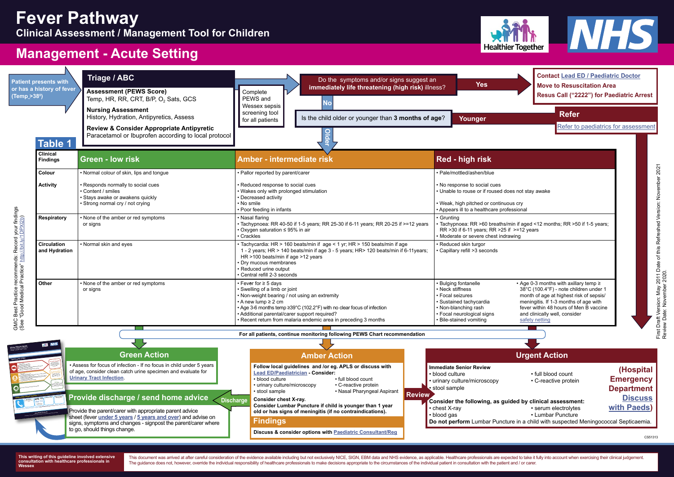**Do not perform** Lumbar Puncture in a child with suspected Meningococcal Septicaemia.

Provide the parent/carer with appropriate parent advice sheet (fever **[under 5 years](https://what0-18.nhs.uk/professionals/gp-primary-care-staff/safety-netting-documents-parents/fever-children-under-5-years)** / **[5 years and over](https://what0-18.nhs.uk/professionals/gp-primary-care-staff/safety-netting-documents-parents/fever-children-over-5-years)**) and advise on signs, symptoms and changes - signpost the parent/carer where to go, should things change.

### **Urgent Action**

- 
- -

• Assess for focus of infection - If no focus in child under 5 years of age, consider clean catch urine specimen and evaluate for **[Urinary Tract Infection](https://what0-18.nhs.uk/application/files/5415/7598/8655/NHS_UTI_pathway_acute_setting.pdf)**.

 **Green Action**

**(Hospital Emergency Department** 

**[Discuss](http://www.what0-18.nhs.uk/health-professionals/primary-care-staff/contact-details-advicereferral-hospital/)** 

**[with Paeds](http://www.what0-18.nhs.uk/health-professionals/primary-care-staff/contact-details-advicereferral-hospital/))**

First Draft Version: May 2011 Date of this Refreshed Version: November 2021<br>Review Date: November 2020. First Draft Version: May 2011 Date of this Refreshed Version: November 2021 Review Date: November 2020.

**Fever Advice Sheet Fever Auvice and carers of Advice for younger than 5 years**<br>children younger than 5 years

> Using the advice overleaf you can provide the care your child needs at home

If your child: is finding it hard to breath s your child:<br>is finding phased (dry mouth, surken eyes, no tears, drowsy<br>seems definition was want your mourses as to 100.4<sup>76</sup> or passing less urine than usual)<br>In passing less urine than us and is under 6 months of age with a temperature above 38°C / 100.4°F<br>is passing arts until \$1,40 m and together above a temperature.  $\frac{1}{\omega}$  (but felt is common in a sufficient vaccination vaccination)<br>(b)  $\frac{1}{\omega}$  and  $\frac{1}{\omega}$  is the common in a sufficient vaccination vaccinations)<br>(b) these is common in these  $\frac{1}{\omega}$  days is not improving after 5 days is not improving was or if you are worried

If your child: **becomes pale and floppy** going blue around the lips becomes difficult to rouse develops a rash to rough<br>Bacomes difficult to rough not disappear with pressure<br>Heralops a rash that does set (see the 'Glass Test' overleaf) **has a fit of is freed or irritable when touched** 

> **GP Surgery** (make a note of number **NHS 111 dial 111** (available 24 hrs -

• Additional parental/carer support required?

• Recent return from malaria endemic area in preceding 3 months

• Focal neurological signs • Bile-stained vomiting

 $\gamma$  min if aged <12 months; RR >50 if 1-5 years; if  $>=12$  years awing<sup>.</sup>



| <b>It presents with</b><br>a history of fever<br>$2 > 38^{\circ}$<br><b>Table 1</b> | Triage / ABC  <br><b>Assessment (PEWS Score)</b><br>Temp, HR, RR, CRT, B/P, O <sub>2</sub> Sats, GCS<br><b>Nursing Assessment</b><br>History, Hydration, Antipyretics, Assess<br><b>Review &amp; Consider Appropriate Antipyretic</b><br>Paracetamol or Ibuprofen according to local protocol | Do the symptoms and/or signs suggest an<br>immediately life threatening (high risk) illness?<br>Complete<br>PEWS and<br><b>No</b><br>Wessex sepsis  <br>screening tool<br>Is the child older or younger than 3 months of age?<br>for all patients                                       | Contact Lead t<br><b>Yes</b><br><b>Move to Resus</b><br>Resus Call ("2)<br>Refer<br>Younger<br>Refer to                                                                                                                                                                         |  |
|-------------------------------------------------------------------------------------|-----------------------------------------------------------------------------------------------------------------------------------------------------------------------------------------------------------------------------------------------------------------------------------------------|-----------------------------------------------------------------------------------------------------------------------------------------------------------------------------------------------------------------------------------------------------------------------------------------|---------------------------------------------------------------------------------------------------------------------------------------------------------------------------------------------------------------------------------------------------------------------------------|--|
| <b>Clinical</b><br><b>Green - low risk</b><br>Findings                              |                                                                                                                                                                                                                                                                                               | <b>Amber - intermediate risk</b>                                                                                                                                                                                                                                                        | Red - high risk                                                                                                                                                                                                                                                                 |  |
| Colour                                                                              | • Normal colour of skin, lips and tongue                                                                                                                                                                                                                                                      | • Pallor reported by parent/carer                                                                                                                                                                                                                                                       | · Pale/mottled/ashen/blue                                                                                                                                                                                                                                                       |  |
| <b>Activity</b>                                                                     | Responds normally to social cues<br>Content / smiles<br>Stays awake or awakens quickly<br>Strong normal cry / not crying                                                                                                                                                                      | · Reduced response to social cues<br>. Wakes only with prolonged stimulation<br>• Decreased activity<br>• No smile<br>• Poor feeding in infants                                                                                                                                         | • No response to social cues<br>• Unable to rouse or if roused does not stay awake<br>• Weak, high pitched or continuous cry<br>• Appears ill to a healthcare professional                                                                                                      |  |
| Respiratory                                                                         | None of the amber or red symptoms<br>or signs                                                                                                                                                                                                                                                 | • Nasal flaring<br>• Tachypnoea: RR 40-50 if 1-5 years; RR 25-30 if 6-11 years; RR 20-25 if >=12 years<br>Oxygen saturation ≤ 95% in air<br>Crackles                                                                                                                                    | • Grunting<br>• Tachypnoea: RR >60 breaths/min if aged <12 months; RR >50<br>RR >30 if 6-11 years; RR >25 if >=12 years<br>• Moderate or severe chest indrawing                                                                                                                 |  |
| <b>Circulation</b><br>and Hydration                                                 | • Normal skin and eyes                                                                                                                                                                                                                                                                        | Tachycardia: HR > 160 beats/min if age < 1 yr; HR > 150 beats/min if age<br>1 - 2 years; HR > 140 beats/min if age 3 - 5 years; HR > 120 beats/min if 6-11 years;<br>HR >100 beats/min if age >12 years<br>Dry mucous membranes<br>· Reduced urine output<br>Central refill 2-3 seconds | • Reduced skin turgor<br>Capillary refill >3 seconds                                                                                                                                                                                                                            |  |
| Other                                                                               | None of the amber or red symptoms<br>or signs                                                                                                                                                                                                                                                 | • Fever for ≥ 5 days<br>· Swelling of a limb or joint<br>• Non-weight bearing / not using an extremity<br>$\cdot$ A new lump $\geq$ 2 cm<br>• Age 3-6 months temp ≥39°C (102.2°F) with no clear focus of infection                                                                      | • Age 0-3 months with axilla<br><b>Bulging fontanelle</b><br>• Neck stiffness<br>38°C (100.4°F) - note chilo<br>• Focal seizures<br>month of age at highest ris<br>meningitis. If 1-3 months o<br>• Sustained tachycardia<br>fever within 48 hours of M<br>• Non-blanching rash |  |

• Age 0-3 months with axillary temp ≥ 38°C (100.4°F) - note children under 1 month of age at highest risk of sepsis/ meningitis. If 1-3 months of age with fever within 48 hours of Men B vaccine and clinically well, consider [safety netting](https://what0-18.nhs.uk/professionals/gp-primary-care-staff/safety-netting-documents-parents/fever-children-under-5-years)

GMC Best Practice recommends: Record your findings SMC Best Practice recommends: Record your findings<br>See "Good Medical Practice" http://bit.ly/1DPXI2b) (See "Good Medical Practice" [http://bit.ly/1DPXl2b](http://www.gmc-uk.org/guidance/good_medical_practice/record_work.asp))

## **Fever Pathway Clinical Assessment / Management Tool for Children**



# **Management - Acute Setting**

**Patie or has** (Temp

**For all patients, continue monitoring following PEWS Chart recommendation** 

**Some useful phone numbers** (You may want to add some numbers on here too)

If none of the above features are presen<sup>t</sup>

**How is your child?**

**You need to contact a doctor or nurse today** Please ring your GP surgery or call NHS 111 - dial 111

**You need urgent help** go to the nearest Hospital Emergency (A&E) Department or <sup>p</sup>hone 999

**Acute Community Nursing Team** .......................................

**Children's Ward**

**This guidance is written by healthcare professionals from across Hampshire, Dorset and the Isle of Wight www.what0-18.nhs.uk For online advice: Western Healthier Together www.what0-18.nhs.uk (available 24 hrs <sup>/</sup> days a week)**  **Contact [Lead ED / Paediatric Doctor](http://www.what0-18.nhs.uk/health-professionals/primary-care-staff/contact-details-advicereferral-hospital/) Move to Resuscitation Area Resus Call ("2222") for Paediatric Arrest**

[Refer to paediatrics for assessment](http://www.what0-18.nhs.uk/health-professionals/primary-care-staff/contact-details-advicereferral-hospital/)

**This writing of this guideline involved extensive consultation with healthcare professionals in Wessex**

This document was arrived at after careful consideration of the evidence available including but not exclusively NICE, SIGN, EBM data and NHS evidence, as applicable. Healthcare professionals are expected to take it fully The guidance does not, however, override the individual responsibility of healthcare professionals to make decisions appropriate to the circumstances of the individual patient in consultation with the patient and / or care





CS51313